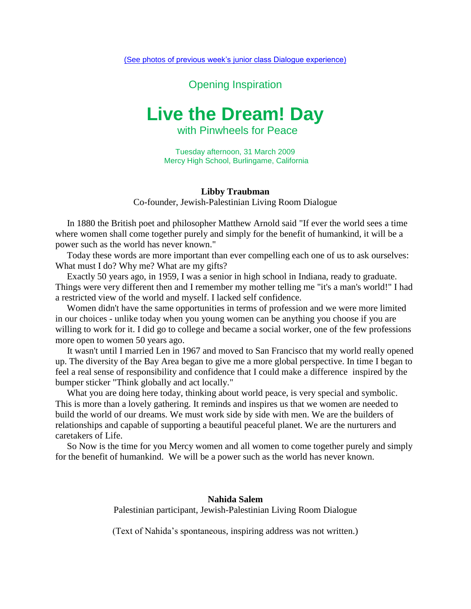(See photos [of previous week's junior class Dialogue experience\)](http://traubman.igc.org/mercyhighdialogue.pdf)

Opening Inspiration

## **Live the Dream! Day**

with Pinwheels for Peace

Tuesday afternoon, 31 March 2009 Mercy High School, Burlingame, California

## **Libby Traubman** Co-founder, Jewish-Palestinian Living Room Dialogue

 In 1880 the British poet and philosopher Matthew Arnold said "If ever the world sees a time where women shall come together purely and simply for the benefit of humankind, it will be a power such as the world has never known."

 Today these words are more important than ever compelling each one of us to ask ourselves: What must I do? Why me? What are my gifts?

 Exactly 50 years ago, in 1959, I was a senior in high school in Indiana, ready to graduate. Things were very different then and I remember my mother telling me "it's a man's world!" I had a restricted view of the world and myself. I lacked self confidence.

 Women didn't have the same opportunities in terms of profession and we were more limited in our choices - unlike today when you young women can be anything you choose if you are willing to work for it. I did go to college and became a social worker, one of the few professions more open to women 50 years ago.

 It wasn't until I married Len in 1967 and moved to San Francisco that my world really opened up. The diversity of the Bay Area began to give me a more global perspective. In time I began to feel a real sense of responsibility and confidence that I could make a difference inspired by the bumper sticker "Think globally and act locally."

 What you are doing here today, thinking about world peace, is very special and symbolic. This is more than a lovely gathering. It reminds and inspires us that we women are needed to build the world of our dreams. We must work side by side with men. We are the builders of relationships and capable of supporting a beautiful peaceful planet. We are the nurturers and caretakers of Life.

 So Now is the time for you Mercy women and all women to come together purely and simply for the benefit of humankind. We will be a power such as the world has never known.

> **Nahida Salem** Palestinian participant, Jewish-Palestinian Living Room Dialogue

> (Text of Nahida's spontaneous, inspiring address was not written.)